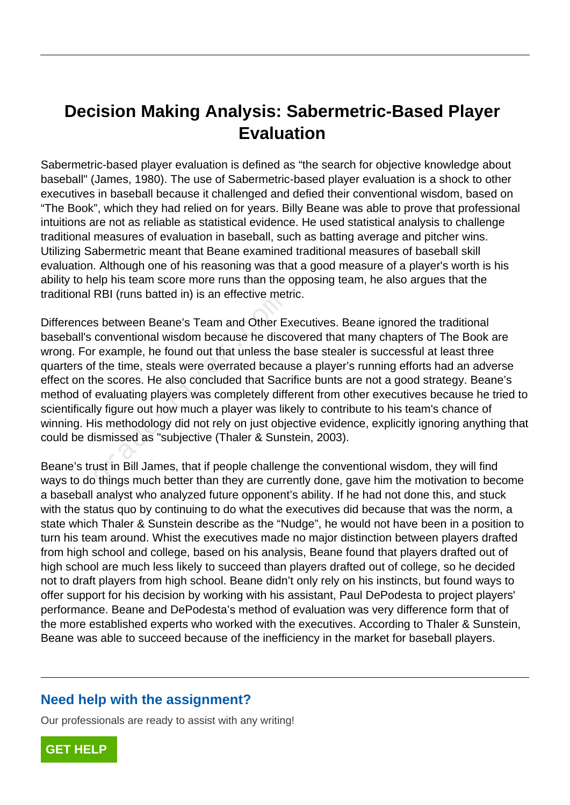# **Decision Making Analysis: Sabermetric-Based Player Evaluation**

Sabermetric-based player evaluation is defined as "the search for objective knowledge about baseball" (James, 1980). The use of Sabermetric-based player evaluation is a shock to other executives in baseball because it challenged and defied their conventional wisdom, based on "The Book", which they had relied on for years. Billy Beane was able to prove that professional intuitions are not as reliable as statistical evidence. He used statistical analysis to challenge traditional measures of evaluation in baseball, such as batting average and pitcher wins. Utilizing Sabermetric meant that Beane examined traditional measures of baseball skill evaluation. Although one of his reasoning was that a good measure of a player's worth is his ability to help his team score more runs than the opposing team, he also argues that the traditional RBI (runs batted in) is an effective metric.

Differences between Beane's Team and Other Executives. Beane ignored the traditional baseball's conventional wisdom because he discovered that many chapters of The Book are wrong. For example, he found out that unless the base stealer is successful at least three quarters of the time, steals were overrated because a player's running efforts had an adverse effect on the scores. He also concluded that Sacrifice bunts are not a good strategy. Beane's method of evaluating players was completely different from other executives because he tried to scientifically figure out how much a player was likely to contribute to his team's chance of winning. His methodology did not rely on just objective evidence, explicitly ignoring anything that could be dismissed as "subjective (Thaler & Sunstein, 2003). Solitions batted in j is an enective met<br>s between Beane's Team and Other E:<br>conventional wisdom because he discord<br>rexample, he found out that unless the<br>f the time, steals were overrated becau<br>ne scores. He also conclude

Beane's trust in Bill James, that if people challenge the conventional wisdom, they will find ways to do things much better than they are currently done, gave him the motivation to become a baseball analyst who analyzed future opponent's ability. If he had not done this, and stuck with the status quo by continuing to do what the executives did because that was the norm, a state which Thaler & Sunstein describe as the "Nudge", he would not have been in a position to turn his team around. Whist the executives made no major distinction between players drafted from high school and college, based on his analysis, Beane found that players drafted out of high school are much less likely to succeed than players drafted out of college, so he decided not to draft players from high school. Beane didn't only rely on his instincts, but found ways to offer support for his decision by working with his assistant, Paul DePodesta to project players' performance. Beane and DePodesta's method of evaluation was very difference form that of the more established experts who worked with the executives. According to Thaler & Sunstein, Beane was able to succeed because of the inefficiency in the market for baseball players.

#### **Need help with the assignment?**

Our professionals are ready to assist with any writing!

**[GET HELP](https://my.gradesfixer.com/order?utm_campaign=pdf_sample)**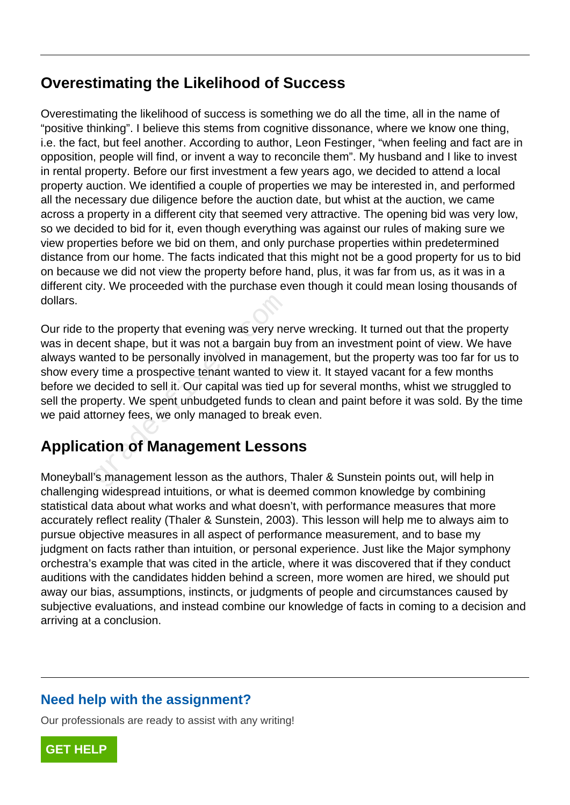## **Overestimating the Likelihood of Success**

Overestimating the likelihood of success is something we do all the time, all in the name of "positive thinking". I believe this stems from cognitive dissonance, where we know one thing, i.e. the fact, but feel another. According to author, Leon Festinger, "when feeling and fact are in opposition, people will find, or invent a way to reconcile them". My husband and I like to invest in rental property. Before our first investment a few years ago, we decided to attend a local property auction. We identified a couple of properties we may be interested in, and performed all the necessary due diligence before the auction date, but whist at the auction, we came across a property in a different city that seemed very attractive. The opening bid was very low, so we decided to bid for it, even though everything was against our rules of making sure we view properties before we bid on them, and only purchase properties within predetermined distance from our home. The facts indicated that this might not be a good property for us to bid on because we did not view the property before hand, plus, it was far from us, as it was in a different city. We proceeded with the purchase even though it could mean losing thousands of dollars.

Our ride to the property that evening was very nerve wrecking. It turned out that the property was in decent shape, but it was not a bargain buy from an investment point of view. We have always wanted to be personally involved in management, but the property was too far for us to show every time a prospective tenant wanted to view it. It stayed vacant for a few months before we decided to sell it. Our capital was tied up for several months, whist we struggled to sell the property. We spent unbudgeted funds to clean and paint before it was sold. By the time we paid attorney fees, we only managed to break even. of the property that evening was very nevent shape, but it was not a bargain buy inted to be personally involved in manaly time a prospective tenant wanted to decided to sell it. Our capital was tied upperty. We spent unbu

## **Application of Management Lessons**

Moneyball's management lesson as the authors, Thaler & Sunstein points out, will help in challenging widespread intuitions, or what is deemed common knowledge by combining statistical data about what works and what doesn't, with performance measures that more accurately reflect reality (Thaler & Sunstein, 2003). This lesson will help me to always aim to pursue objective measures in all aspect of performance measurement, and to base my judgment on facts rather than intuition, or personal experience. Just like the Major symphony orchestra's example that was cited in the article, where it was discovered that if they conduct auditions with the candidates hidden behind a screen, more women are hired, we should put away our bias, assumptions, instincts, or judgments of people and circumstances caused by subjective evaluations, and instead combine our knowledge of facts in coming to a decision and arriving at a conclusion.

### **Need help with the assignment?**

Our professionals are ready to assist with any writing!